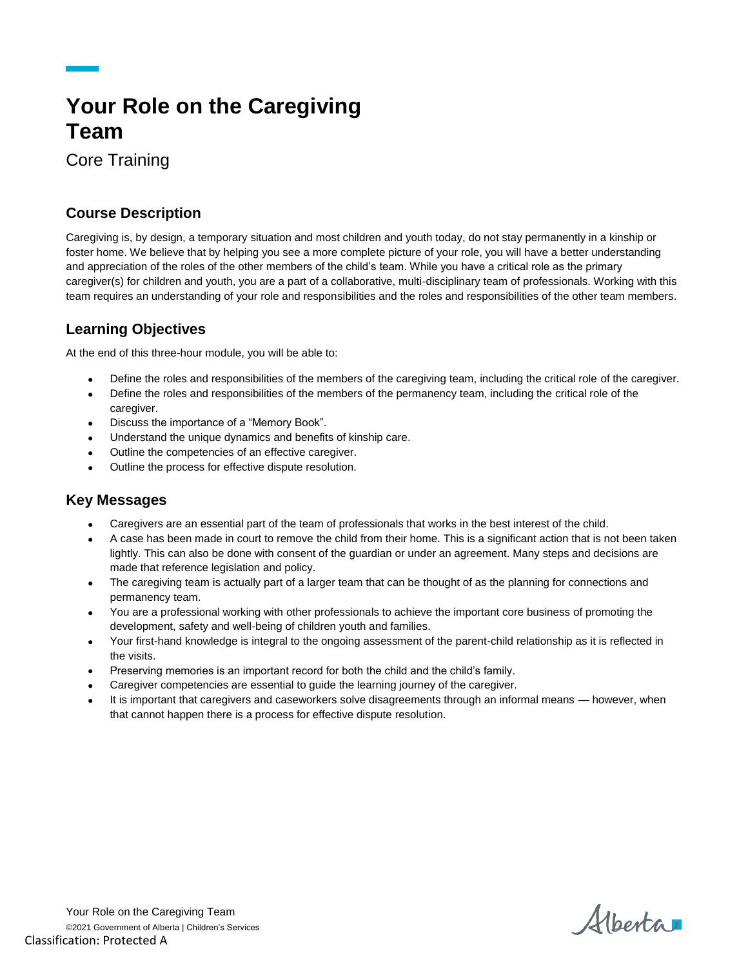# **Your Role on the Caregiving Team**

Core Training

### **Course Description**

Caregiving is, by design, a temporary situation and most children and youth today, do not stay permanently in a kinship or foster home. We believe that by helping you see a more complete picture of your role, you will have a better understanding and appreciation of the roles of the other members of the child's team. While you have a critical role as the primary caregiver(s) for children and youth, you are a part of a collaborative, multi-disciplinary team of professionals. Working with this team requires an understanding of your role and responsibilities and the roles and responsibilities of the other team members.

## **Learning Objectives**

At the end of this three-hour module, you will be able to:

- Define the roles and responsibilities of the members of the caregiving team, including the critical role of the caregiver.
- Define the roles and responsibilities of the members of the permanency team, including the critical role of the
- caregiver. Discuss the importance of a "Memory Book".
- Understand the unique dynamics and benefits of kinship care.
- Outline the competencies of an effective caregiver.
- Outline the process for effective dispute resolution.

#### **Key Messages**

- Caregivers are an essential part of the team of professionals that works in the best interest of the child.
- A case has been made in court to remove the child from their home. This is a significant action that is not been taken lightly. This can also be done with consent of the guardian or under an agreement. Many steps and decisions are made that reference legislation and policy.
- The caregiving team is actually part of a larger team that can be thought of as the planning for connections and permanency team.
- You are a professional working with other professionals to achieve the important core business of promoting the development, safety and well-being of children youth and families.
- Your first-hand knowledge is integral to the ongoing assessment of the parent-child relationship as it is reflected in the visits.
- Preserving memories is an important record for both the child and the child's family.
- Caregiver competencies are essential to guide the learning journey of the caregiver.
- It is important that caregivers and caseworkers solve disagreements through an informal means however, when that cannot happen there is a process for effective dispute resolution.

Alberta